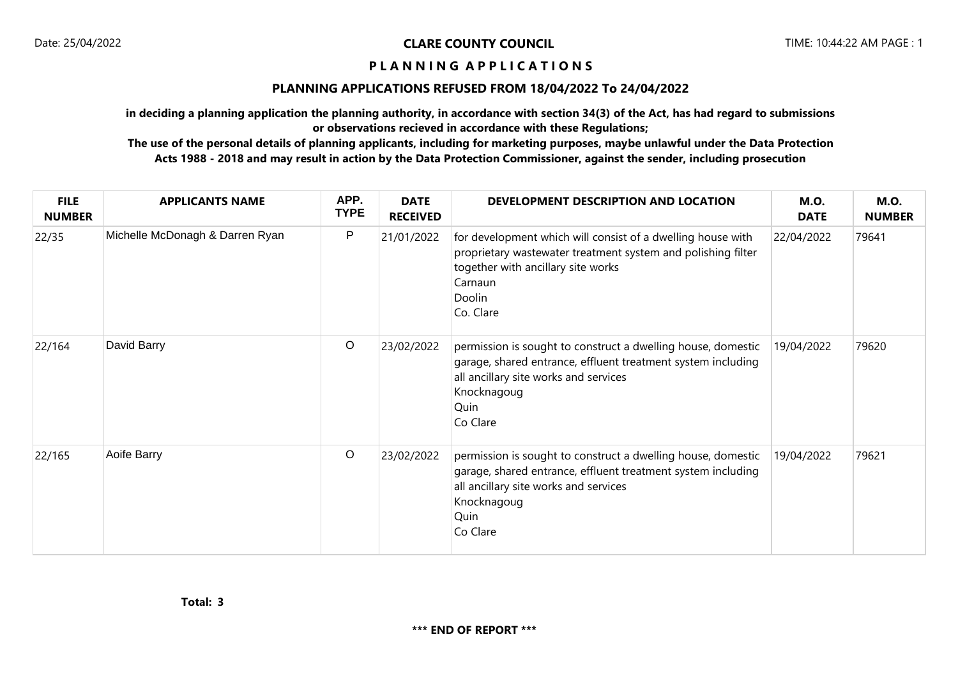## **P L A N N I N G A P P L I C A T I O N S**

## **PLANNING APPLICATIONS REFUSED FROM 18/04/2022 To 24/04/2022**

**in deciding a planning application the planning authority, in accordance with section 34(3) of the Act, has had regard to submissions or observations recieved in accordance with these Regulations;**

**The use of the personal details of planning applicants, including for marketing purposes, maybe unlawful under the Data Protection Acts 1988 - 2018 and may result in action by the Data Protection Commissioner, against the sender, including prosecution**

| <b>FILE</b><br><b>NUMBER</b> | <b>APPLICANTS NAME</b>          | APP.<br><b>TYPE</b> | <b>DATE</b><br><b>RECEIVED</b> | DEVELOPMENT DESCRIPTION AND LOCATION                                                                                                                                                                     | <b>M.O.</b><br><b>DATE</b> | <b>M.O.</b><br><b>NUMBER</b> |
|------------------------------|---------------------------------|---------------------|--------------------------------|----------------------------------------------------------------------------------------------------------------------------------------------------------------------------------------------------------|----------------------------|------------------------------|
| 22/35                        | Michelle McDonagh & Darren Ryan | $\mathsf{P}$        | 21/01/2022                     | for development which will consist of a dwelling house with<br>proprietary wastewater treatment system and polishing filter<br>together with ancillary site works<br>Carnaun<br>Doolin<br>Co. Clare      | 22/04/2022                 | 79641                        |
| 22/164                       | David Barry                     | $\circ$             | 23/02/2022                     | permission is sought to construct a dwelling house, domestic<br>garage, shared entrance, effluent treatment system including<br>all ancillary site works and services<br>Knocknagoug<br>Quin<br>Co Clare | 19/04/2022                 | 79620                        |
| 22/165                       | Aoife Barry                     | $\circ$             | 23/02/2022                     | permission is sought to construct a dwelling house, domestic<br>garage, shared entrance, effluent treatment system including<br>all ancillary site works and services<br>Knocknagoug<br>Quin<br>Co Clare | 19/04/2022                 | 79621                        |